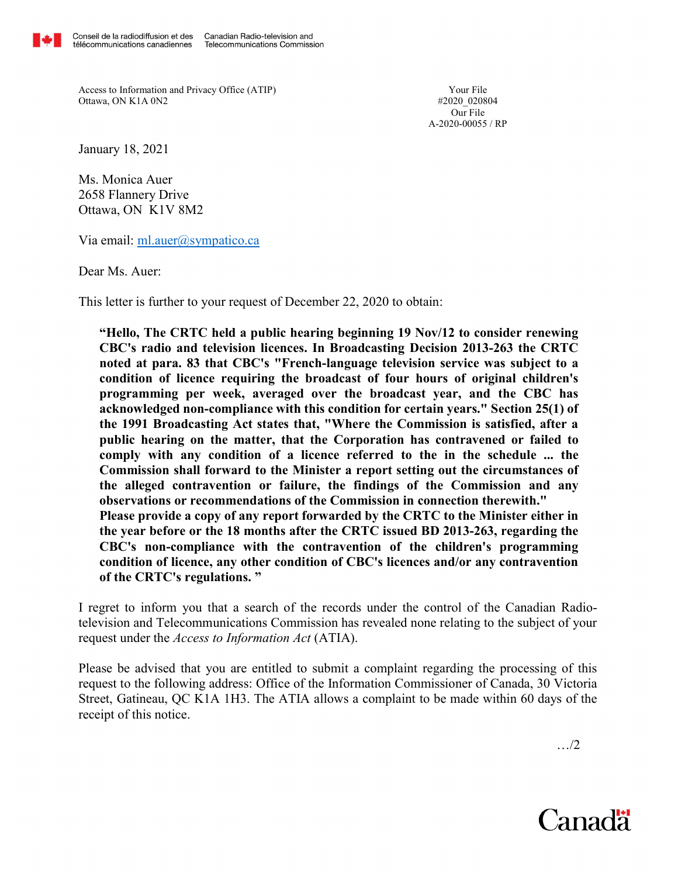

Access to Information and Privacy Office (ATIP) Ottawa, ON K1A 0N2

Your File #2020\_020804 Our File A-2020-00055 / RP

January 18, 2021

Ms. Monica Auer 2658 Flannery Drive Ottawa, ON K1V 8M2

Via email: ml.auer@sympatico.ca

Dear Ms. Auer:

This letter is further to your request of December 22, 2020 to obtain:

"Hello, The CRTC held a public hearing beginning 19 Nov/12 to consider renewing CBC's radio and television licences. In Broadcasting Decision 2013-263 the CRTC noted at para. 83 that CBC's "French-language television service was subject to a condition of licence requiring the broadcast of four hours of original children's programming per week, averaged over the broadcast year, and the CBC has acknowledged non-compliance with this condition for certain years." Section 25(1) of the 1991 Broadcasting Act states that, "Where the Commission is satisfied, after a public hearing on the matter, that the Corporation has contravened or failed to comply with any condition of a licence referred to the in the schedule ... the Commission shall forward to the Minister a report setting out the circumstances of the alleged contravention or failure, the findings of the Commission and any observations or recommendations of the Commission in connection therewith." Please provide a copy of any report forwarded by the CRTC to the Minister either in the year before or the 18 months after the CRTC issued BD 2013-263, regarding the CBC's non-compliance with the contravention of the children's programming condition of licence, any other condition of CBC's licences and/or any contravention of the CRTC's regulations. "

I regret to inform you that a search of the records under the control of the Canadian Radiotelevision and Telecommunications Commission has revealed none relating to the subject of your request under the Access to Information Act (ATIA).

Please be advised that you are entitled to submit a complaint regarding the processing of this request to the following address: Office of the Information Commissioner of Canada, 30 Victoria Street, Gatineau, QC K1A 1H3. The ATIA allows a complaint to be made within 60 days of the receipt of this notice.

…/2